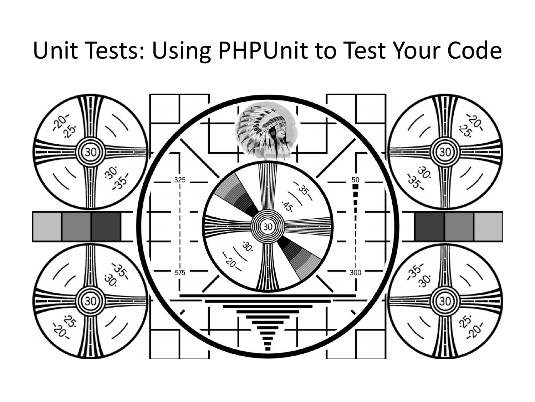### Unit Tests: Using PHPUnit to Test Your Code

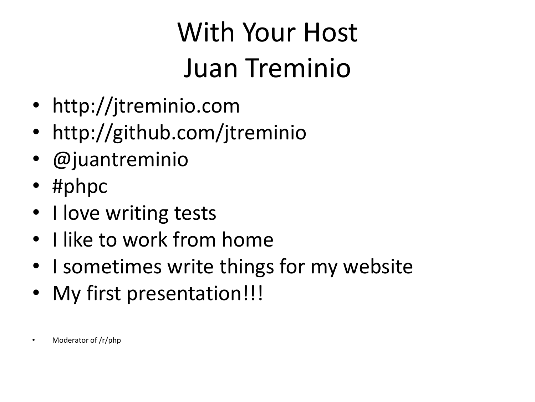# With Your Host Juan Treminio

- http://jtreminio.com
- http://github.com/jtreminio
- @juantreminio
- #phpc
- I love writing tests
- I like to work from home
- I sometimes write things for my website
- My first presentation!!!
- Moderator of /r/php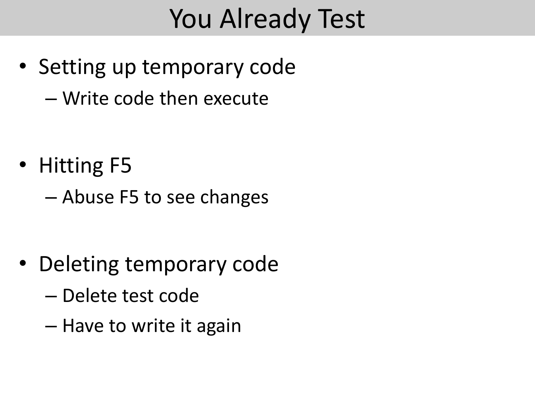# You Already Test

- Setting up temporary code
	- Write code then execute

- Hitting F5
	- Abuse F5 to see changes

- Deleting temporary code
	- Delete test code
	- Have to write it again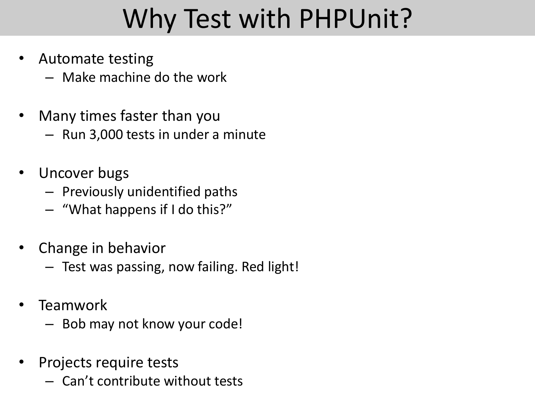# Why Test with PHPUnit?

- Automate testing
	- Make machine do the work
- Many times faster than you
	- Run 3,000 tests in under a minute
- Uncover bugs
	- Previously unidentified paths
	- "What happens if I do this?"
- Change in behavior
	- Test was passing, now failing. Red light!
- Teamwork
	- Bob may not know your code!
- Projects require tests
	- Can't contribute without tests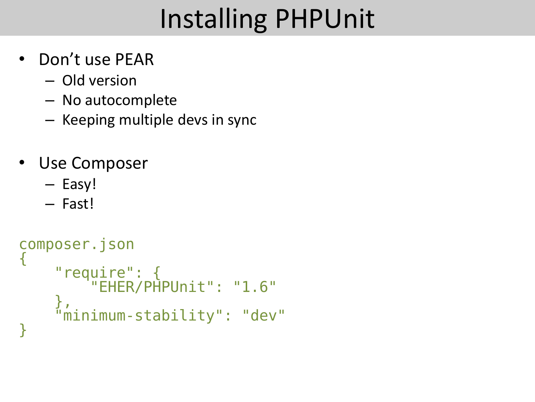# Installing PHPUnit

- Don't use PEAR
	- Old version
	- No autocomplete
	- Keeping multiple devs in sync
- Use Composer
	- Easy!
	- Fast!

```
composer.json
{
 "require": {
 "EHER/PHPUnit": "1.6"
 },
 "minimum-stability": "dev"
}
```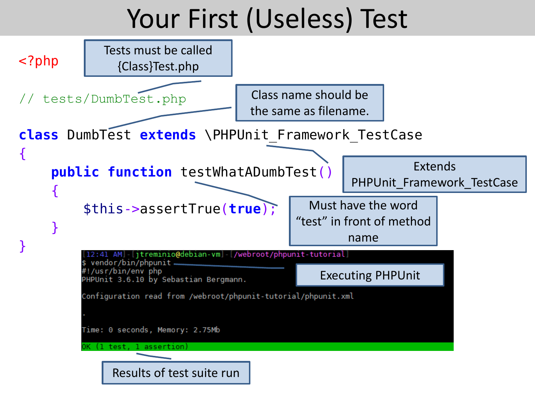### Your First (Useless) Test

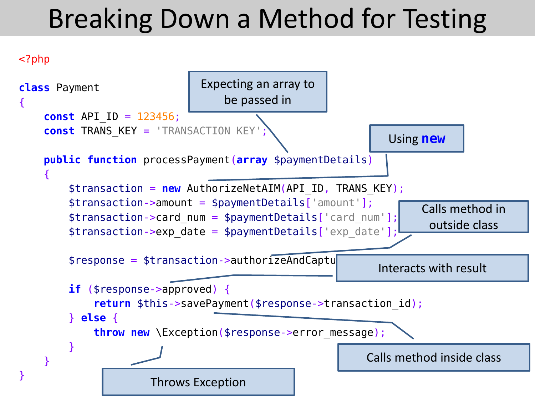# Breaking Down a Method for Testing



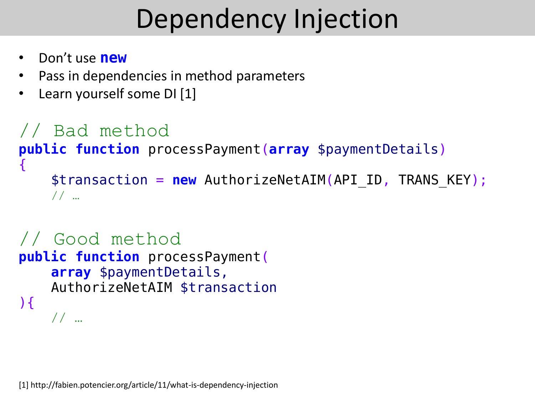# Dependency Injection

- Don't use **new**
- Pass in dependencies in method parameters
- Learn yourself some DI [1]

```
// Bad method
public function processPayment(array $paymentDetails)
{f}$transaction = new AuthorizeNetAIM(API ID, TRANS KEY);
     // …
```

```
// Good method
public function processPayment(
     array $paymentDetails,
     AuthorizeNetAIM $transaction
\mathcal{H} // …
```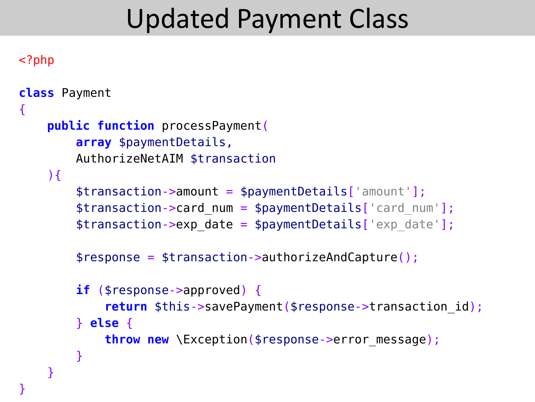### Updated Payment Class

```
<?php
class Payment
{
     public function processPayment(
         array $paymentDetails,
         AuthorizeNetAIM $transaction
    \mathcal{H} $transaction->amount = $paymentDetails['amount'];
        $transaction->card num = $paymentDetails['card num'];
        $transaction->exp date = $paymentDetails['exp date'];
         $response = $transaction->authorizeAndCapture();
         if ($response->approved) {
             return $this->savePayment($response->transaction_id);
         } else {
             throw new \Exception($response->error_message);
 }
     }
}
```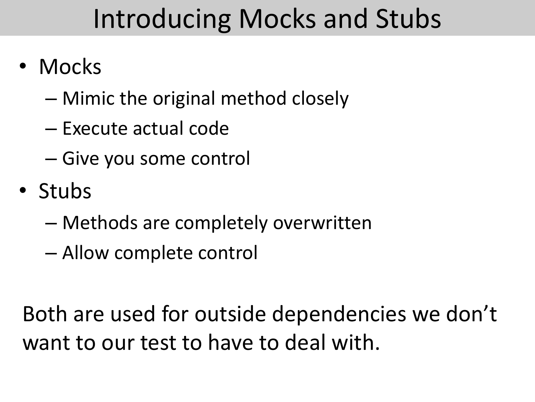### Introducing Mocks and Stubs

- Mocks
	- Mimic the original method closely
	- Execute actual code
	- Give you some control
- Stubs
	- Methods are completely overwritten
	- Allow complete control

Both are used for outside dependencies we don't want to our test to have to deal with.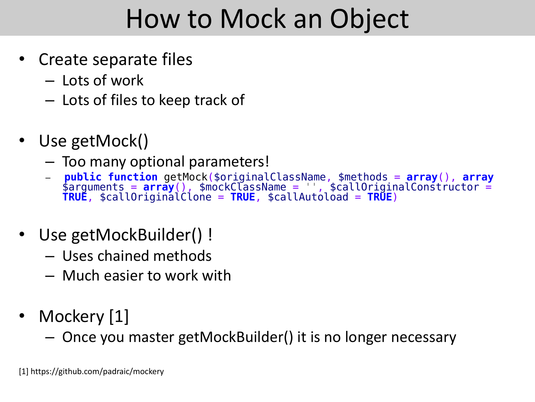## How to Mock an Object

- Create separate files
	- Lots of work
	- Lots of files to keep track of
- Use getMock()
	- Too many optional parameters!
	- **public function** getMock(\$originalClassName, \$methods = **array**(), **array** \$arguments = **array**(), \$mockClassName = '', \$callOriginalConstructor = **TRUE**, \$callOriginalClone = **TRUE**, \$callAutoload = **TRUE**)
- Use getMockBuilder() !
	- Uses chained methods
	- Much easier to work with
- Mockery [1]
	- Once you master getMockBuilder() it is no longer necessary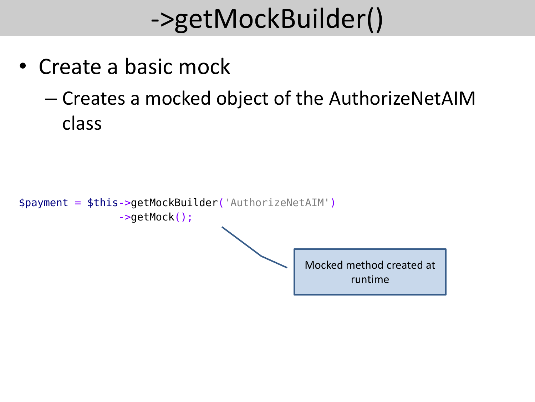# ->getMockBuilder()

- Create a basic mock
	- Creates a mocked object of the AuthorizeNetAIM class

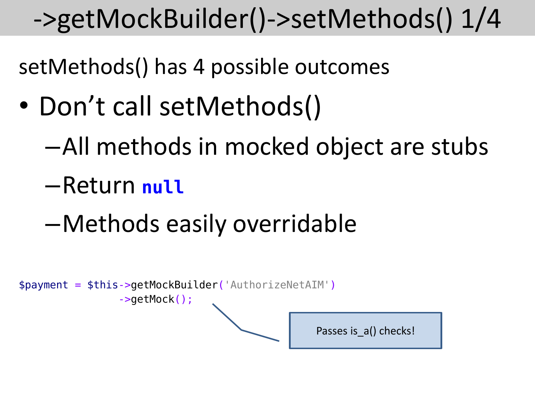### ->getMockBuilder()->setMethods() 1/4

- Don't call setMethods()
	- –All methods in mocked object are stubs
	- –Return **null**
	- –Methods easily overridable

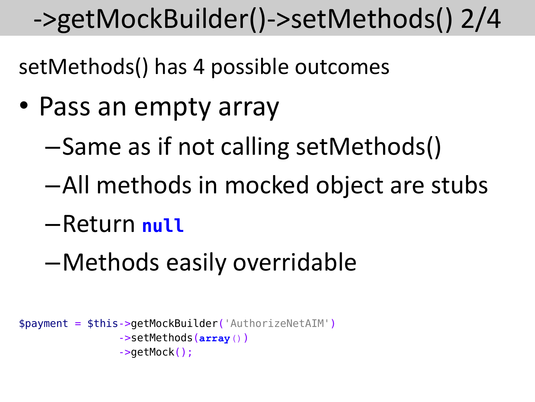### ->getMockBuilder()->setMethods() 2/4

- Pass an empty array
	- –Same as if not calling setMethods()
	- –All methods in mocked object are stubs
	- –Return **null**
	- –Methods easily overridable

```
$payment = $this->getMockBuilder('AuthorizeNetAIM')
                 ->setMethods(array())
                 ->getMock();
```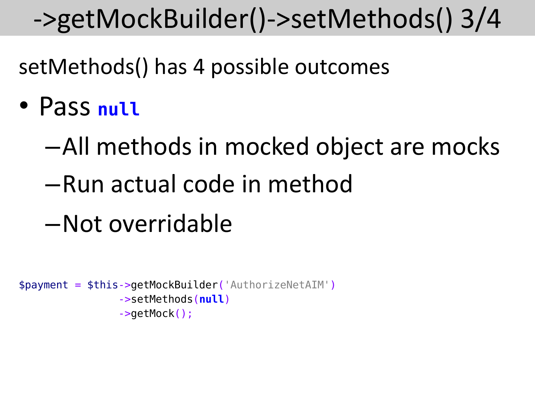### ->getMockBuilder()->setMethods() 3/4

- Pass **null**
	- –All methods in mocked object are mocks
	- –Run actual code in method
	- –Not overridable

```
$payment = $this->getMockBuilder('AuthorizeNetAIM')
                  ->setMethods(null)
                  ->getMock();
```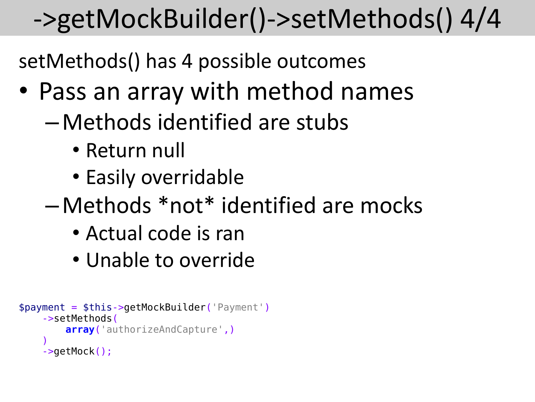# ->getMockBuilder()->setMethods() 4/4

- Pass an array with method names
	- –Methods identified are stubs
		- Return null
		- Easily overridable
	- –Methods \*not\* identified are mocks
		- Actual code is ran
		- Unable to override

```
$payment = $this->getMockBuilder('Payment')
      ->setMethods(
          array('authorizeAndCapture',)
\overline{\phantom{a}} ->getMock();
```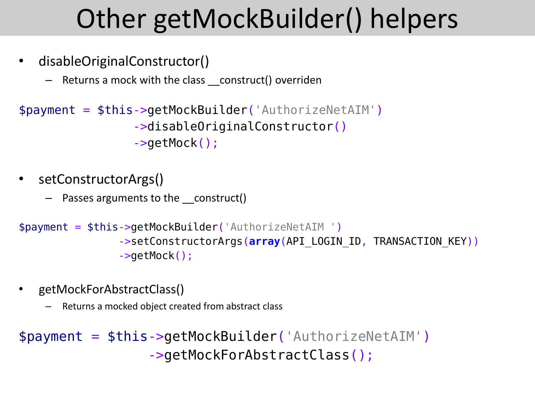# Other getMockBuilder() helpers

- disableOriginalConstructor()
	- Returns a mock with the class \_\_construct() overriden

```
$payment = $this->getMockBuilder('AuthorizeNetAIM')
                 ->disableOriginalConstructor()
                 ->getMock();
```
- setConstructorArgs()
	- Passes arguments to the construct()

```
$payment = $this->getMockBuilder('AuthorizeNetAIM ')
                 ->setConstructorArgs(array(API_LOGIN_ID, TRANSACTION_KEY))
                 ->getMock();
```
- getMockForAbstractClass()
	- Returns a mocked object created from abstract class

\$payment = \$this->getMockBuilder('AuthorizeNetAIM') ->getMockForAbstractClass();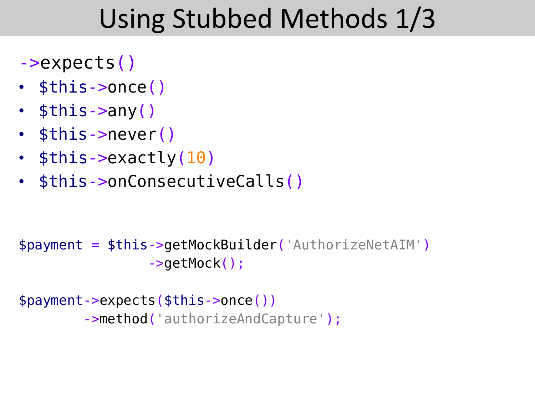### Using Stubbed Methods 1/3

- ->expects()
- \$this->once()
- $$this->any()$
- \$this->never()
- \$this->exactly(10)
- \$this->onConsecutiveCalls()

```
$payment = $this->getMockBuilder('AuthorizeNetAIM')
                 ->getMock();
```

```
$payment->expects($this->once())
        ->method('authorizeAndCapture');
```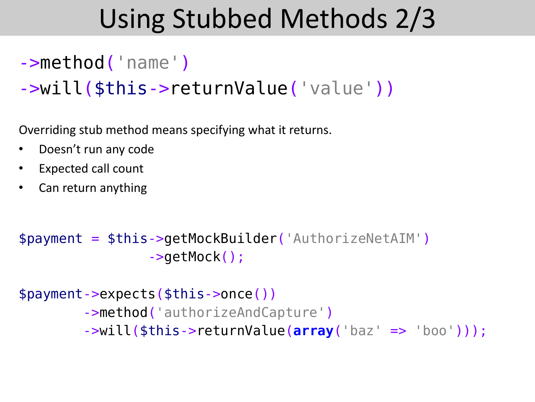### Using Stubbed Methods 2/3

### ->method('name')

### ->will(\$this->returnValue('value'))

Overriding stub method means specifying what it returns.

- Doesn't run any code
- Expected call count
- Can return anything

```
$payment = $this->getMockBuilder('AuthorizeNetAIM')
                 ->getMock();
```

```
$payment->expects($this->once())
         ->method('authorizeAndCapture')
         ->will($this->returnValue(array('baz' => 'boo')));
```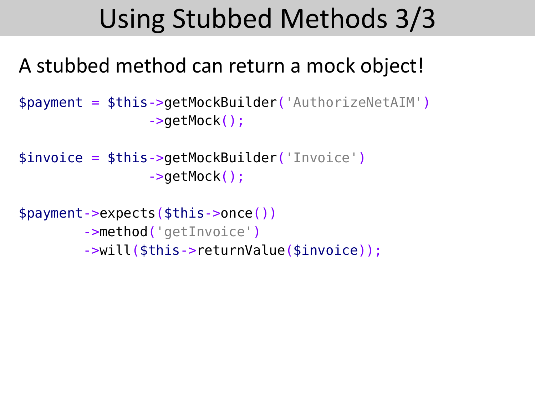### Using Stubbed Methods 3/3

### A stubbed method can return a mock object!

\$payment = \$this->getMockBuilder('AuthorizeNetAIM') ->getMock();

```
$invoice = $this->getMockBuilder('Invoice')
                  ->getMock();
```

```
$payment->expects($this->once())
         ->method('getInvoice')
         ->will($this->returnValue($invoice));
```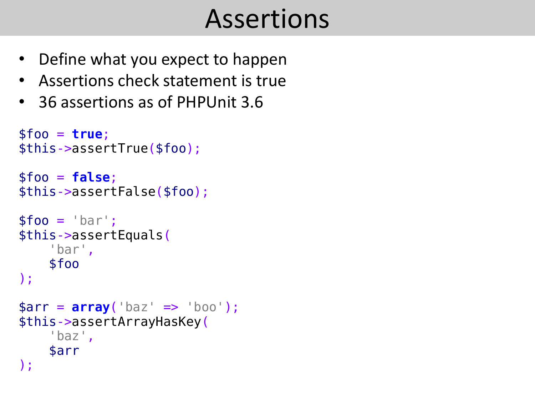### Assertions

- Define what you expect to happen
- Assertions check statement is true
- 36 assertions as of PHPUnit 3.6

```
$foo = true;
$this->assertTrue($foo);
$foo = false;
$this->assertFalse($foo);
$foo = 'bar';$this->assertEquals(
     'bar',
     $foo
);
$arr = array('baz' => 'boo');
$this->assertArrayHasKey(
 'baz'
,
     $arr
);
```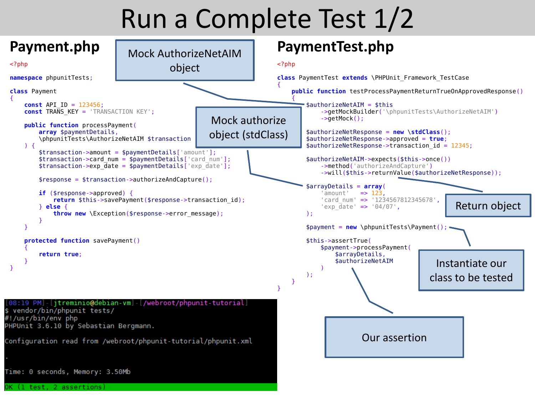### Run a Complete Test 1/2

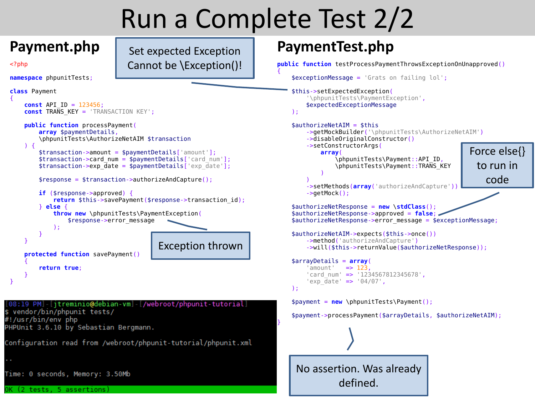### Run a Complete Test 2/2

### **Payment.php**

 $<$ ?php

Set expected Exception Cannot be \Exception()!

```
namespace phpunitTests;
```


```
 const API_ID = 123456;
    const TRANS_KEY = 'TRANSACTION KEY';
    public function processPayment(
         array $paymentDetails,
         \phpunitTests\AuthorizeNetAIM $transaction
   ) {
         $transaction->amount = $paymentDetails['amount'];
        $transaction->card num = $paymentDetails['card_num'];
         $transaction->exp_date = $paymentDetails['exp_date'];
         $response = $transaction->authorizeAndCapture();
        if ($response->approved) {
             return $this->savePayment($response->transaction_id);
        } else {
             throw new \phpunitTests\PaymentException(
                 $response->error_message
             );
 }
    }
    protected function savePayment()
\sim \sim \sim \sim return true;
 }
}
                                          Exception thrown
```
08:19 PM]-[itreminio@debian-vm]-[/webroot/phpunit-tutorial] vendor/bin/phpunit tests/ #!/usr/bin/env php PHPUnit 3.6.10 by Sebastian Bergmann.

Configuration read from /webroot/phpunit-tutorial/phpunit.xml

Time: 0 seconds, Memory: 3.50Mb

(2 tests. 5 assertions)

### **PaymentTest.php**

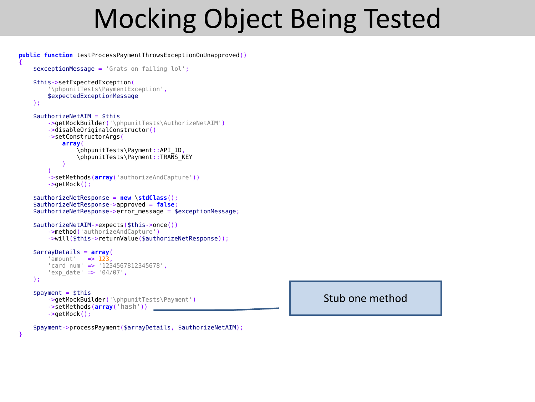### Mocking Object Being Tested

```
public function testProcessPaymentThrowsExceptionOnUnapproved()
     $exceptionMessage = 'Grats on failing lol';
     $this->setExpectedException(
          '\phpunitTests\PaymentException',
          $expectedExceptionMessage
     );
    $authorizeNetAIM = $this ->getMockBuilder('\phpunitTests\AuthorizeNetAIM')
          ->disableOriginalConstructor()
          ->setConstructorArgs(
              array(
                   \phpunitTests\Payment::API_ID,
                   \phpunitTests\Payment::TRANS_KEY
\sim ) and \sim 100 \sim 100 \sim 100 \sim 100 \sim\overline{\phantom{a}} ->setMethods(array('authorizeAndCapture'))
          ->getMock();
     $authorizeNetResponse = new \stdClass();
     $authorizeNetResponse->approved = false;
     $authorizeNetResponse->error_message = $exceptionMessage;
     $authorizeNetAIM->expects($this->once())
          ->method('authorizeAndCapture')
          ->will($this->returnValue($authorizeNetResponse));
     $arrayDetails = array(
         'amount' \Rightarrow 123.
          'card_num' => '1234567812345678',
         'exp \overline{date}' => '04/07',
     );
    $payment = $this ->getMockBuilder('\phpunitTests\Payment')
          ->setMethods(array('hash'))
          ->getMock();
```
Stub one method

\$payment->processPayment(\$arrayDetails, \$authorizeNetAIM);

}

{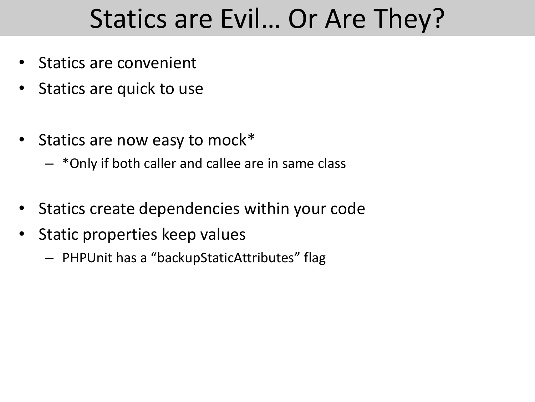### Statics are Evil… Or Are They?

- Statics are convenient
- Statics are quick to use
- Statics are now easy to mock\*
	- \*Only if both caller and callee are in same class
- Statics create dependencies within your code
- Static properties keep values
	- PHPUnit has a "backupStaticAttributes" flag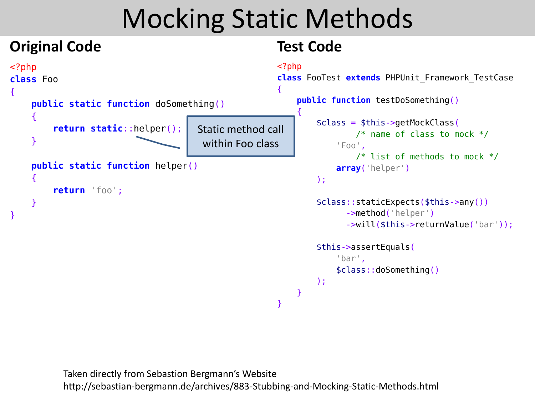### Mocking Static Methods

#### **Original Code** <?php **class** Foo { **public static function** doSomething() { **return static**::helper(); } **public static function** helper() { **return** 'foo'; } } **Test Code** <?php **class** FooTest **extends** PHPUnit\_Framework\_TestCase { **public function** testDoSomething()  $\_\_$  { \$class = \$this->getMockClass(  $/*$  name of class to mock  $*/$  'Foo', /\* list of methods to mock \*/  **array**('helper') ); \$class::staticExpects(\$this->any()) ->method('helper') ->will(\$this->returnValue('bar')); \$this->assertEquals( 'bar', \$class::doSomething() ); } } Static method call within Foo class

Taken directly from Sebastion Bergmann's Website http://sebastian-bergmann.de/archives/883-Stubbing-and-Mocking-Static-Methods.html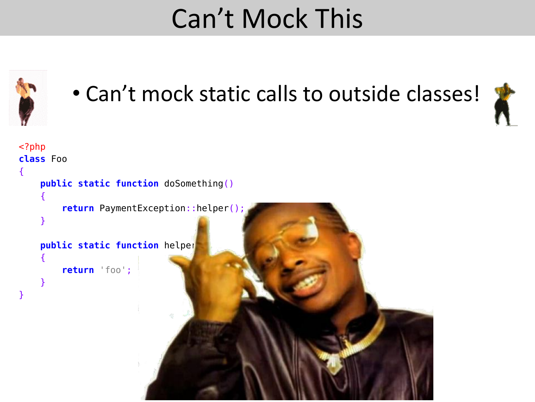### Can't Mock This

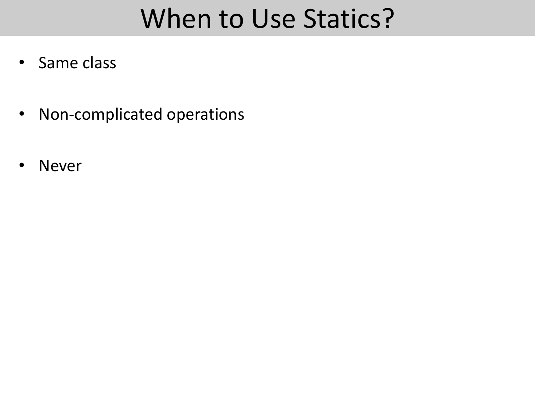### When to Use Statics?

- Same class
- Non-complicated operations
- Never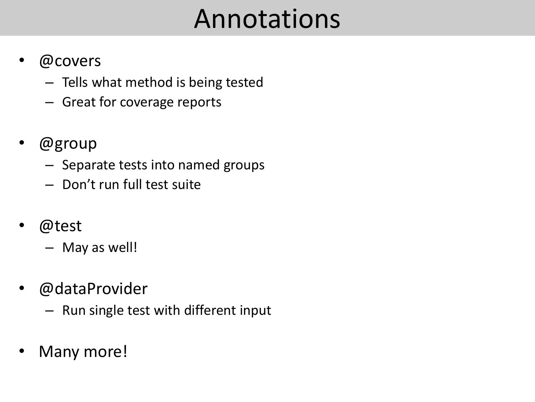### Annotations

- @covers
	- Tells what method is being tested
	- Great for coverage reports
- @group
	- Separate tests into named groups
	- Don't run full test suite
- @test
	- May as well!
- @dataProvider
	- Run single test with different input
- Many more!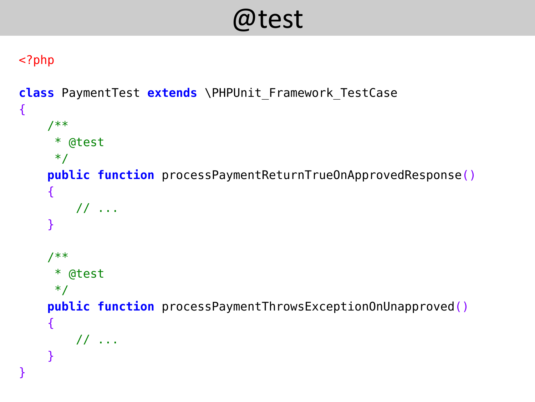@test

```
class PaymentTest extends \PHPUnit_Framework_TestCase
{
     /**
      * @test
      */
     public function processPaymentReturnTrueOnApprovedResponse()
    \{ // ...
     }
     /**
      * @test
      */
     public function processPaymentThrowsExceptionOnUnapproved()
     {
         // ...
     }
}
```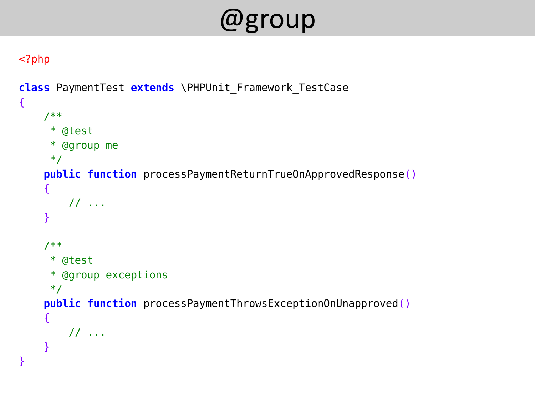### @group

```
class PaymentTest extends \PHPUnit_Framework_TestCase
\{ /**
      * @test
      * @group me
      */
     public function processPaymentReturnTrueOnApprovedResponse()
     {
         // ...
     }
     /**
      * @test
      * @group exceptions
      */
     public function processPaymentThrowsExceptionOnUnapproved()
     {
         // ...
     }
}
```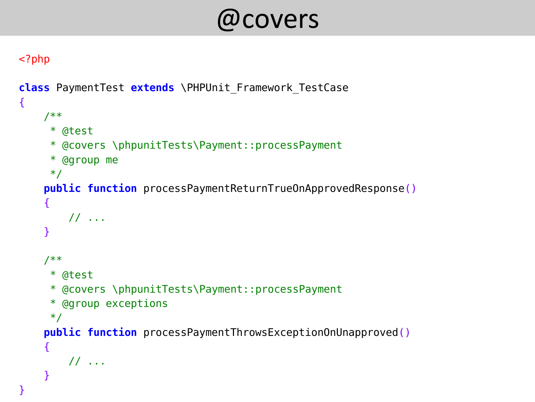### @covers

```
class PaymentTest extends \PHPUnit_Framework_TestCase
\{ /**
      * @test
      * @covers \phpunitTests\Payment::processPayment
      * @group me
      */
     public function processPaymentReturnTrueOnApprovedResponse()
     {
         // ...
     }
     /**
      * @test
      * @covers \phpunitTests\Payment::processPayment
      * @group exceptions
      */
     public function processPaymentThrowsExceptionOnUnapproved()
     {
         // ...
     }
}
```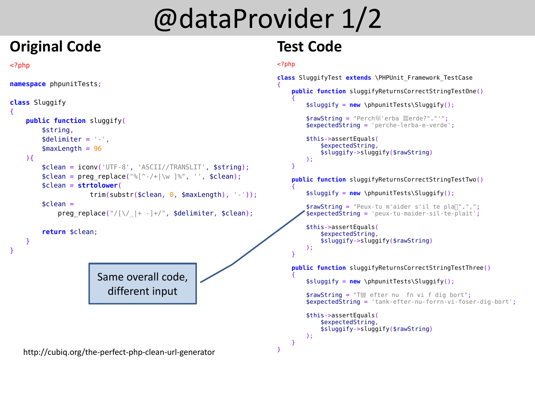### @dataProvider 1/2

### **Original Code**

<?php

```
namespace phpunitTests;
```

```
class Sluggify
{
     public function sluggify(
         $string,
        $delimiter = '-'',smaxLength = 96\mathcal{H} $clean = iconv('UTF-8', 'ASCII//TRANSLIT', $string);
        $clean = preg replace("%[^{-}/+|\wee"]; '', $clean); $clean = strtolower(
                     trim(substr($clean, 0, $maxLength), '--'));$clean =preg replace("/[\sqrt{2} + -] +/", $delimiter, $clean);
         return $clean;
     }
}
                       Same overall code, 
                         different input
```
http://cubiq.org/the-perfect-php-clean-url-generator

### **Test Code**

```
<?php
```
{

}

```
class SluggifyTest extends \PHPUnit_Framework_TestCase
     public function sluggifyReturnsCorrectStringTestOne()
\overline{\phantom{a}} $sluggify = new \phpunitTests\Sluggify();
        $rawString = "Perch頬'erba 蠶erde?"."'";
        $expectedString = 'perche-Ierba-e-verde'; $this->assertEquals(
              $expectedString,
             $sluggify->sluggify($rawString)
         );
     }
     public function sluggifyReturnsCorrectStringTestTwo()
\overline{\mathcal{A}} $sluggify = new \phpunitTests\Sluggify();
        $rawString = "Poux-tu m'aider s'il te plan".",";
        $expectedString = 'peux-tu-maider-sil-te-plait'; $this->assertEquals(
              $expectedString,
             $sluggify->sluggify($rawString)
         );
 }
     public function sluggifyReturnsCorrectStringTestThree()
\overline{\mathcal{A}} $sluggify = new \phpunitTests\Sluggify();
        $rawString = "T efter nu fn vi f dig bort";
         $expectedString = 'tank-efter-nu-forrn-vi-foser-dig-bort';
         $this->assertEquals(
              $expectedString,
              $sluggify->sluggify($rawString)
         );
    }
```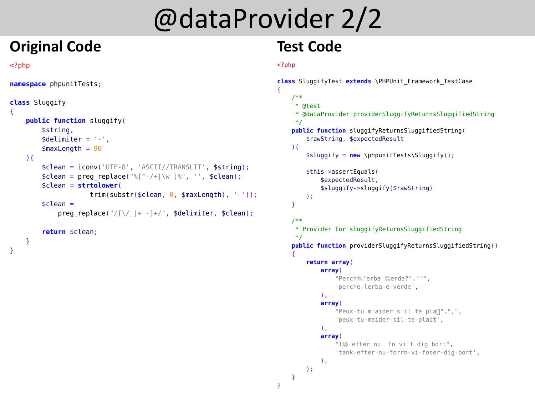### @dataProvider 2/2

### **Original Code**

#### <?php

}

}

```
namespace phpunitTests;
```
#### **class** Sluggify { **public function** sluggify( \$string,  $$delimiter = '-'$ ,  $$maxLength = 96$  $\mathcal{H}$  \$clean = iconv('UTF-8', 'ASCII//TRANSLIT', \$string);  $$clean = preg_replace("%['-/+]\\w]$  ", ",  $$clean);$  \$clean = **strtolower**(  $trim(substr($clean, 0, $maxLength), '--'));$  $$clean =$ preg\_replace("/ $[\n\sqrt{2} + -] + \sqrt{2}$ , \$delimiter, \$clean); **return** \$clean;

### **Test Code**

```
class SluggifyTest extends \PHPUnit_Framework_TestCase
{
     /**
      * @test
      * @dataProvider providerSluggifyReturnsSluggifiedString
      */
     public function sluggifyReturnsSluggifiedString(
         $rawString, $expectedResult
     ){
         $sluggify = new \phpunitTests\Sluggify();
         $this->assertEquals(
              $expectedResult,
              $sluggify->sluggify($rawString)
         );
     }
     /**
      * Provider for sluggifyReturnsSluggifiedString
      */
     public function providerSluggifyReturnsSluggifiedString()
\overline{\mathcal{A}} return array(
              array(
                  "Perch頬'erba 蠶erde?"."'",
                  'perche-lerba-e-verde',
             ),
             array(
                 "Peux-tu m'aider s'il te pla\Box".",",
                  'peux-tu-maider-sil-te-plait',
             ),
             array(
                 "T驤 efter nu fn vi f dig bort",
                  'tank-efter-nu-forrn-vi-foser-dig-bort',
             ),
         );
     }
}
```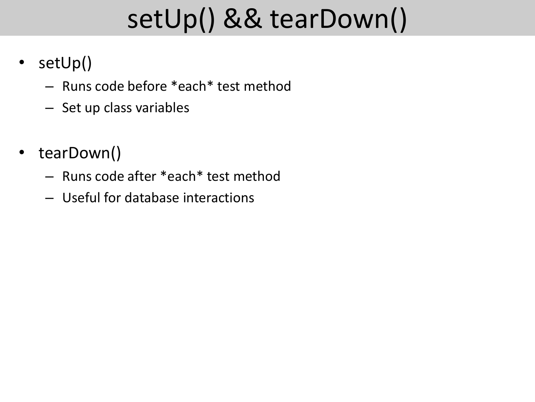# setUp() && tearDown()

- setUp()
	- Runs code before \*each\* test method
	- Set up class variables
- tearDown()
	- Runs code after \*each\* test method
	- Useful for database interactions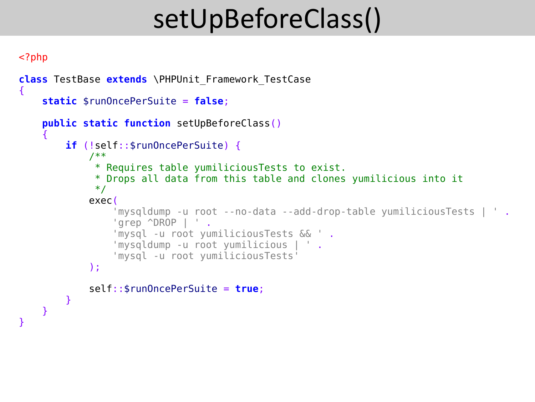# setUpBeforeClass()

```
<?php
class TestBase extends \PHPUnit_Framework_TestCase
{
     static $runOncePerSuite = false;
     public static function setUpBeforeClass()
     {
         if (!self::$runOncePerSuite) {
              /**
               * Requires table yumiliciousTests to exist.
               * Drops all data from this table and clones yumilicious into it
               */
             exec(
                  'mysqldump -u root --no-data --add-drop-table yumiliciousTests | ' .
                  'grep ^DROP | ' .
                  'mysql -u root yumiliciousTests && ' .
                  'mysqldump -u root yumilicious | ' .
                  'mysql -u root yumiliciousTests'
              );
             self::$runOncePerSuite = true;
         }
     }
```
}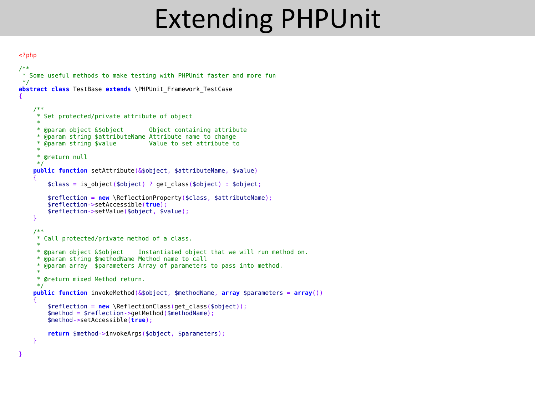### Extending PHPUnit

```
<?php
```

```
/**
* Some useful methods to make testing with PHPUnit faster and more fun
 */
abstract class TestBase extends \PHPUnit_Framework_TestCase
{
     /**
      * Set protected/private attribute of object
 *
      * @param object &$object Object containing attribute
      * @param string $attributeName Attribute name to change
      * @param string $value Value to set attribute to
 *
      * @return null
      */
     public function setAttribute(&$object, $attributeName, $value)
\overline{\phantom{a}} $class = is_object($object) ? get_class($object) : $object;
         $reflection = new \ReflectionProperty($class, $attributeName);
         $reflection->setAccessible(true);
         $reflection->setValue($object, $value);
     }
     /**
     * Call protected/private method of a class.<br>*
 *
      * @param object &$object Instantiated object that we will run method on.
      * @param string $methodName Method name to call
      * @param array $parameters Array of parameters to pass into method.
      *
      * @return mixed Method return.
      */
     public function invokeMethod(&$object, $methodName, array $parameters = array())
\overline{\phantom{a}} $reflection = new \ReflectionClass(get_class($object));
         $method = $reflection->getMethod($methodName);
         $method->setAccessible(true);
         return $method->invokeArgs($object, $parameters);
     }
}
```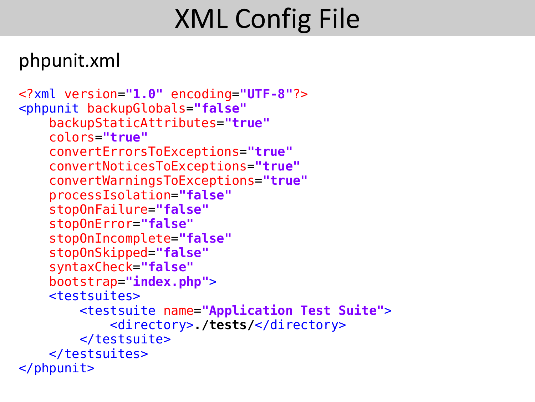# XML Config File

### phpunit.xml

```
<?xml version="1.0" encoding="UTF-8"?>
<phpunit backupGlobals="false"
     backupStaticAttributes="true"
     colors="true"
     convertErrorsToExceptions="true"
     convertNoticesToExceptions="true"
     convertWarningsToExceptions="true"
     processIsolation="false"
     stopOnFailure="false"
     stopOnError="false"
     stopOnIncomplete="false"
     stopOnSkipped="false"
     syntaxCheck="false"
 bootstrap=
"index.php">
     <testsuites>
         <testsuite name="Application Test Suite">
             <directory>./tests/</directory>
         </testsuite>
     </testsuites>
</phpunit>
```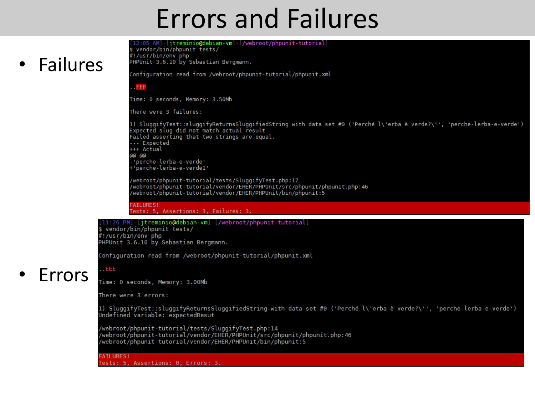### Errors and Failures

### **Failures**

[12:05 AM] [jtreminio@debian-vm] [/webroot/phpunit-tutorial] \$ vendor/bin/phpunit tests/ #!/usr/bin/env php PHPUnit 3.6.10 by Sebastian Bergmann. Configuration read from /webroot/phpunit-tutorial/phpunit.xml

**FFF** 

Time: 0 seconds, Memory: 3.50Mb

There were 3 failures:

1) SluggifyTest::sluggifyReturnsSluggifiedString with data set #0 ('Perché l\'erba è verde?\'', 'perche-lerba-e-verde') Expected slug did not match actual result Failed asserting that two strings are equal. --- Expected +++ Actual ളെ രൂ 'perche-lerba-e-verde' perche-lerba-e-verdel'<del>'</del>

/webroot/phpunit-tutorial/tests/SluggifyTest.php:17 /webroot/phpunit-tutorial/vendor/EHER/PHPUnit/src/phpunit/phpunit.php:46 /webroot/phpunit-tutorial/vendor/EHER/PHPUnit/bin/phpunit:5

**FAILURES!** Tests: 5, Assertions: 3, Failures: 3.

#### [11:26 PM] [itreminio@debian-vm] [/webroot/phpunit-tutorial]

\$ vendor/bin/phpunit tests/ #!/usr/bin/env php PHPUnit 3.6.10 by Sebastian Bergmann.

Configuration read from /webroot/phpunit-tutorial/phpunit.xml

### • Errors

Time: 0 seconds, Memory: 3.00Mb

There were 3 errors:

 $\ldots$ EEE

1) SluggifyTest::sluggifyReturnsSluggifiedString with data set #0 ('Perché l\'erba è verde?\'', 'perche-lerba-e-verde') Undefined variable: expectedResut

/webroot/phpunit-tutorial/tests/SluggifyTest.php:14 /webroot/phpunit-tutorial/vendor/EHER/PHPUnit/src/phpunit/phpunit.php:46 /webroot/phpunit-tutorial/vendor/EHER/PHPUnit/bin/phpunit:5

**FAILURES!** Tests: 5, Assertions: 0, Errors: 3.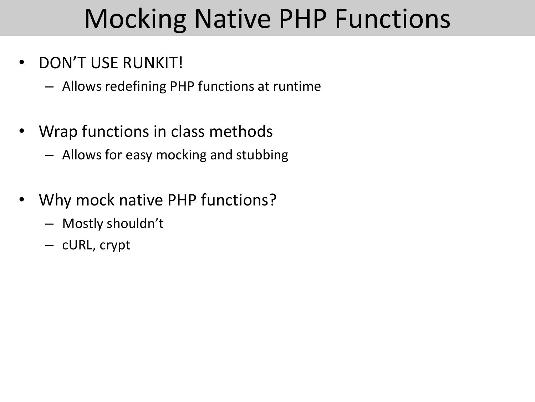### Mocking Native PHP Functions

### • DON'T USE RUNKIT!

- Allows redefining PHP functions at runtime
- Wrap functions in class methods
	- Allows for easy mocking and stubbing
- Why mock native PHP functions?
	- Mostly shouldn't
	- cURL, crypt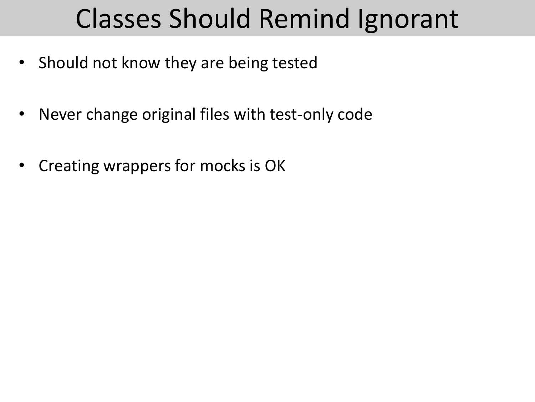# Classes Should Remind Ignorant

- Should not know they are being tested
- Never change original files with test-only code
- Creating wrappers for mocks is OK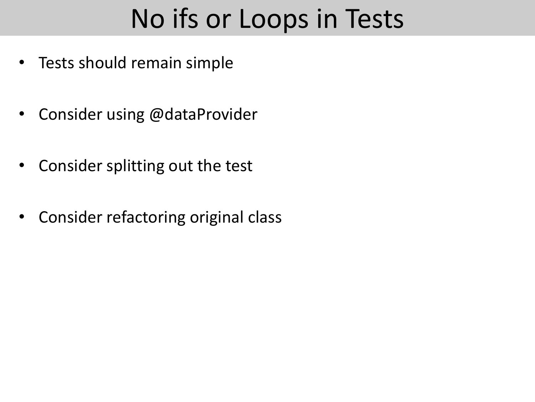## No ifs or Loops in Tests

- Tests should remain simple
- Consider using @dataProvider
- Consider splitting out the test
- Consider refactoring original class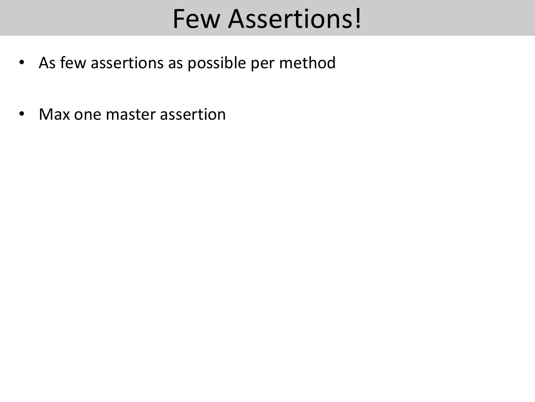### Few Assertions!

- As few assertions as possible per method
- Max one master assertion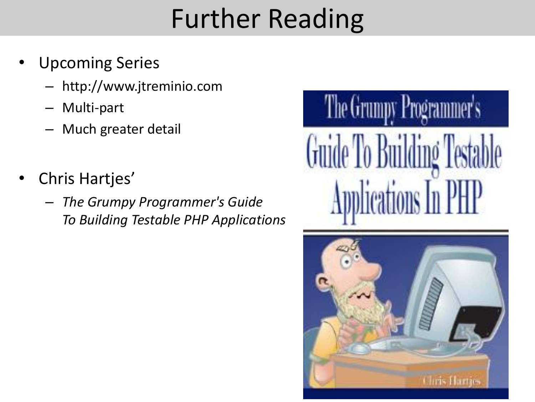# Further Reading

- Upcoming Series
	- http://www.jtreminio.com
	- Multi-part
	- Much greater detail
- Chris Hartjes'
	- *The Grumpy Programmer's Guide To Building Testable PHP Applications*